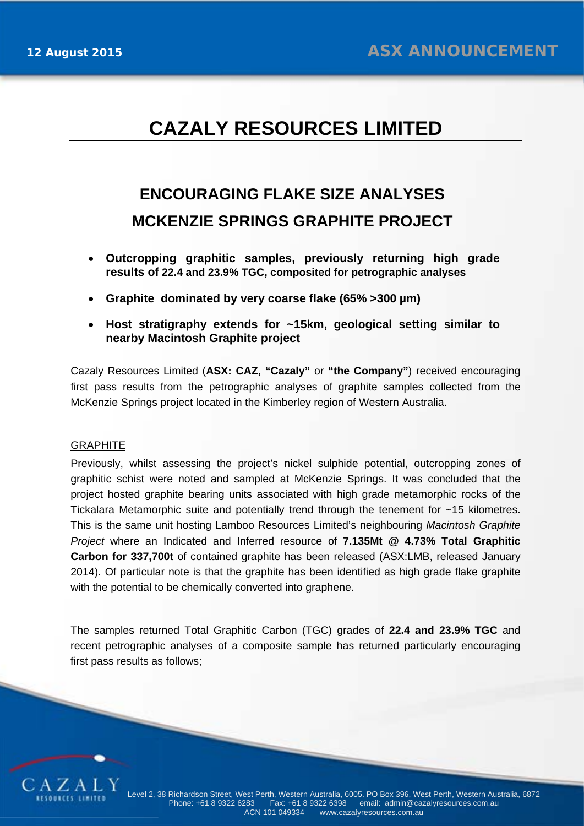## **CAZALY RESOURCES LIMITED**

# **ENCOURAGING FLAKE SIZE ANALYSES MCKENZIE SPRINGS GRAPHITE PROJECT**

- **Outcropping graphitic samples, previously returning high grade results of 22.4 and 23.9% TGC, composited for petrographic analyses**
- **Graphite dominated by very coarse flake (65% >300 µm)**
- **Host stratigraphy extends for ~15km, geological setting similar to nearby Macintosh Graphite project**

Cazaly Resources Limited (**ASX: CAZ, "Cazaly"** or **"the Company"**) received encouraging first pass results from the petrographic analyses of graphite samples collected from the McKenzie Springs project located in the Kimberley region of Western Australia.

#### **GRAPHITE**

Previously, whilst assessing the project's nickel sulphide potential, outcropping zones of graphitic schist were noted and sampled at McKenzie Springs. It was concluded that the project hosted graphite bearing units associated with high grade metamorphic rocks of the Tickalara Metamorphic suite and potentially trend through the tenement for ~15 kilometres. This is the same unit hosting Lamboo Resources Limited's neighbouring *Macintosh Graphite Project* where an Indicated and Inferred resource of **7.135Mt @ 4.73% Total Graphitic Carbon for 337,700t** of contained graphite has been released (ASX:LMB, released January 2014). Of particular note is that the graphite has been identified as high grade flake graphite with the potential to be chemically converted into graphene.

The samples returned Total Graphitic Carbon (TGC) grades of **22.4 and 23.9% TGC** and recent petrographic analyses of a composite sample has returned particularly encouraging first pass results as follows;

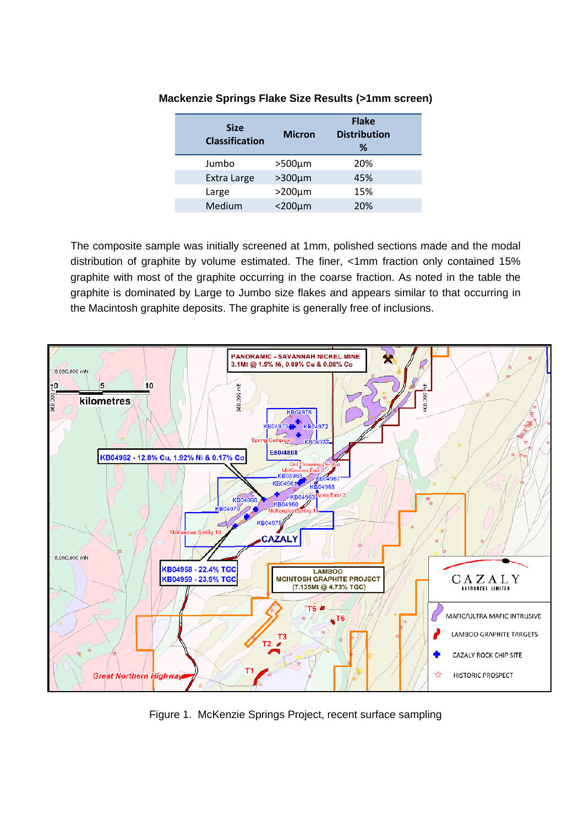| <b>Size</b><br><b>Classification</b> | <b>Micron</b>   | <b>Flake</b><br><b>Distribution</b><br>% |
|--------------------------------------|-----------------|------------------------------------------|
| Jumbo                                | $>500 \mu m$    | 20%                                      |
| Extra Large                          | $>300 \mu m$    | 45%                                      |
| Large                                | $>200 \mu m$    | 15%                                      |
| Medium                               | $<$ 200 $\mu$ m | 20%                                      |
|                                      |                 |                                          |

### **Mackenzie Springs Flake Size Results (>1mm screen)**

The composite sample was initially screened at 1mm, polished sections made and the modal distribution of graphite by volume estimated. The finer, <1mm fraction only contained 15% graphite with most of the graphite occurring in the coarse fraction. As noted in the table the graphite is dominated by Large to Jumbo size flakes and appears similar to that occurring in the Macintosh graphite deposits. The graphite is generally free of inclusions.



Figure 1. McKenzie Springs Project, recent surface sampling